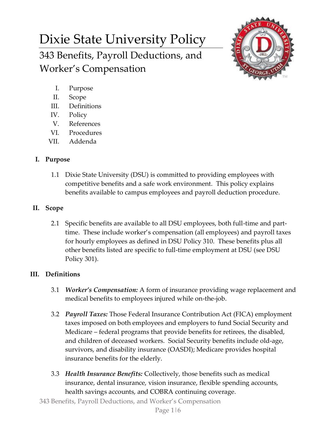# Dixie State University Policy 343 Benefits, Payroll Deductions, and Worker's Compensation



- I. Purpose
- II. Scope
- III. Definitions
- IV. Policy
- V. References
- VI. Procedures
- VII. Addenda

### **I. Purpose**

1.1 Dixie State University (DSU) is committed to providing employees with competitive benefits and a safe work environment. This policy explains benefits available to campus employees and payroll deduction procedure.

## **II. Scope**

2.1 Specific benefits are available to all DSU employees, both full-time and parttime. These include worker's compensation (all employees) and payroll taxes for hourly employees as defined in DSU Policy 310. These benefits plus all other benefits listed are specific to full-time employment at DSU (see DSU Policy 301).

# **III. Definitions**

- 3.1 *Worker's Compensation:* A form of insurance providing wage replacement and medical benefits to employees injured while on-the-job.
- 3.2 *Payroll Taxes:* Those Federal Insurance Contribution Act (FICA) employment taxes imposed on both employees and employers to fund Social Security and Medicare – federal programs that provide benefits for retirees, the disabled, and children of deceased workers. Social Security benefits include old-age, survivors, and disability insurance (OASDI); Medicare provides hospital insurance benefits for the elderly.
- 3.3 *Health Insurance Benefits:* Collectively, those benefits such as medical insurance, dental insurance, vision insurance, flexible spending accounts, health savings accounts, and COBRA continuing coverage.

343 Benefits, Payroll Deductions, and Worker's Compensation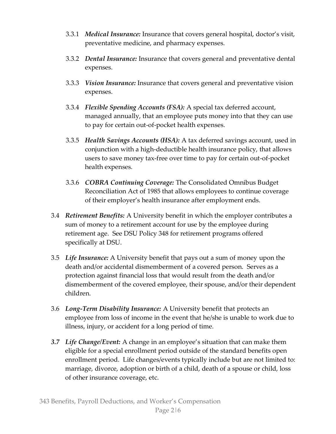- 3.3.1 *Medical Insurance:* Insurance that covers general hospital, doctor's visit, preventative medicine, and pharmacy expenses.
- 3.3.2 *Dental Insurance:* Insurance that covers general and preventative dental expenses.
- 3.3.3 *Vision Insurance:* Insurance that covers general and preventative vision expenses.
- 3.3.4 *Flexible Spending Accounts (FSA):* A special tax deferred account, managed annually, that an employee puts money into that they can use to pay for certain out-of-pocket health expenses.
- 3.3.5 *Health Savings Accounts (HSA):* A tax deferred savings account, used in conjunction with a high-deductible health insurance policy, that allows users to save money tax-free over time to pay for certain out-of-pocket health expenses.
- 3.3.6 *COBRA Continuing Coverage:* The Consolidated Omnibus Budget Reconciliation Act of 1985 that allows employees to continue coverage of their employer's health insurance after employment ends.
- 3.4 *Retirement Benefits:* A University benefit in which the employer contributes a sum of money to a retirement account for use by the employee during retirement age. See DSU Policy 348 for retirement programs offered specifically at DSU.
- 3.5 *Life Insurance:* A University benefit that pays out a sum of money upon the death and/or accidental dismemberment of a covered person. Serves as a protection against financial loss that would result from the death and/or dismemberment of the covered employee, their spouse, and/or their dependent children.
- 3.6 *Long-Term Disability Insurance:* A University benefit that protects an employee from loss of income in the event that he/she is unable to work due to illness, injury, or accident for a long period of time.
- *3.7 Life Change/Event:* A change in an employee's situation that can make them eligible for a special enrollment period outside of the standard benefits open enrollment period. Life changes/events typically include but are not limited to: marriage, divorce, adoption or birth of a child, death of a spouse or child, loss of other insurance coverage, etc.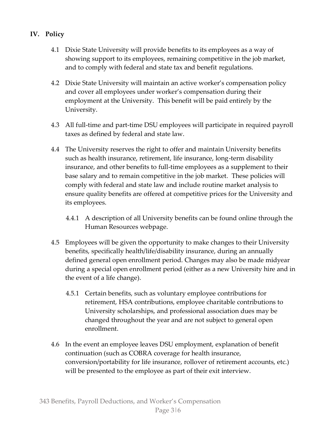- **IV. Policy**
	- 4.1 Dixie State University will provide benefits to its employees as a way of showing support to its employees, remaining competitive in the job market, and to comply with federal and state tax and benefit regulations.
	- 4.2 Dixie State University will maintain an active worker's compensation policy and cover all employees under worker's compensation during their employment at the University. This benefit will be paid entirely by the University.
	- 4.3 All full-time and part-time DSU employees will participate in required payroll taxes as defined by federal and state law.
	- 4.4 The University reserves the right to offer and maintain University benefits such as health insurance, retirement, life insurance, long-term disability insurance, and other benefits to full-time employees as a supplement to their base salary and to remain competitive in the job market. These policies will comply with federal and state law and include routine market analysis to ensure quality benefits are offered at competitive prices for the University and its employees.
		- 4.4.1 A description of all University benefits can be found online through the Human Resources webpage.
	- 4.5 Employees will be given the opportunity to make changes to their University benefits, specifically health/life/disability insurance, during an annually defined general open enrollment period. Changes may also be made midyear during a special open enrollment period (either as a new University hire and in the event of a life change).
		- 4.5.1 Certain benefits, such as voluntary employee contributions for retirement, HSA contributions, employee charitable contributions to University scholarships, and professional association dues may be changed throughout the year and are not subject to general open enrollment.
	- 4.6 In the event an employee leaves DSU employment, explanation of benefit continuation (such as COBRA coverage for health insurance, conversion/portability for life insurance, rollover of retirement accounts, etc.) will be presented to the employee as part of their exit interview.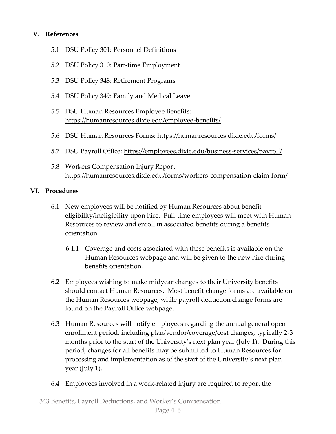#### **V. References**

- 5.1 DSU Policy 301: Personnel Definitions
- 5.2 DSU Policy 310: Part-time Employment
- 5.3 DSU Policy 348: Retirement Programs
- 5.4 DSU Policy 349: Family and Medical Leave
- 5.5 DSU Human Resources Employee Benefits: <https://humanresources.dixie.edu/employee-benefits/>
- 5.6 DSU Human Resources Forms:<https://humanresources.dixie.edu/forms/>
- 5.7 DSU Payroll Office:<https://employees.dixie.edu/business-services/payroll/>
- 5.8 Workers Compensation Injury Report: <https://humanresources.dixie.edu/forms/workers-compensation-claim-form/>

#### **VI. Procedures**

- 6.1 New employees will be notified by Human Resources about benefit eligibility/ineligibility upon hire. Full-time employees will meet with Human Resources to review and enroll in associated benefits during a benefits orientation.
	- 6.1.1 Coverage and costs associated with these benefits is available on the Human Resources webpage and will be given to the new hire during benefits orientation.
- 6.2 Employees wishing to make midyear changes to their University benefits should contact Human Resources. Most benefit change forms are available on the Human Resources webpage, while payroll deduction change forms are found on the Payroll Office webpage.
- 6.3 Human Resources will notify employees regarding the annual general open enrollment period, including plan/vendor/coverage/cost changes, typically 2-3 months prior to the start of the University's next plan year (July 1). During this period, changes for all benefits may be submitted to Human Resources for processing and implementation as of the start of the University's next plan year (July 1).
- 6.4 Employees involved in a work-related injury are required to report the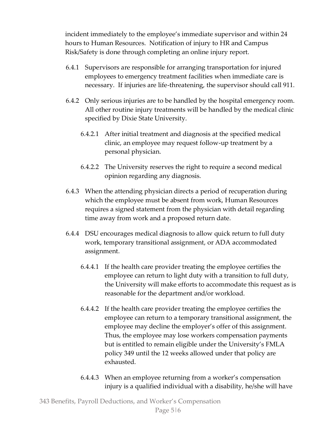incident immediately to the employee's immediate supervisor and within 24 hours to Human Resources. Notification of injury to HR and Campus Risk/Safety is done through completing an online injury report.

- 6.4.1 Supervisors are responsible for arranging transportation for injured employees to emergency treatment facilities when immediate care is necessary. If injuries are life-threatening, the supervisor should call 911.
- 6.4.2 Only serious injuries are to be handled by the hospital emergency room. All other routine injury treatments will be handled by the medical clinic specified by Dixie State University.
	- 6.4.2.1 After initial treatment and diagnosis at the specified medical clinic, an employee may request follow-up treatment by a personal physician.
	- 6.4.2.2 The University reserves the right to require a second medical opinion regarding any diagnosis.
- 6.4.3 When the attending physician directs a period of recuperation during which the employee must be absent from work, Human Resources requires a signed statement from the physician with detail regarding time away from work and a proposed return date.
- 6.4.4 DSU encourages medical diagnosis to allow quick return to full duty work, temporary transitional assignment, or ADA accommodated assignment.
	- 6.4.4.1 If the health care provider treating the employee certifies the employee can return to light duty with a transition to full duty, the University will make efforts to accommodate this request as is reasonable for the department and/or workload.
	- 6.4.4.2 If the health care provider treating the employee certifies the employee can return to a temporary transitional assignment, the employee may decline the employer's offer of this assignment. Thus, the employee may lose workers compensation payments but is entitled to remain eligible under the University's FMLA policy 349 until the 12 weeks allowed under that policy are exhausted.
	- 6.4.4.3 When an employee returning from a worker's compensation injury is a qualified individual with a disability, he/she will have